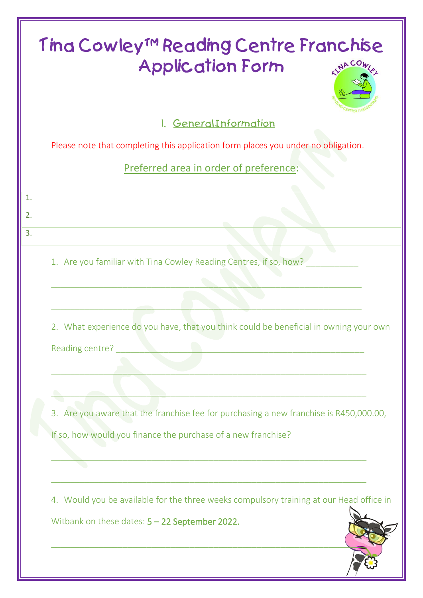| Tina Cowley™ Reading Centre Franchise<br><b>Application Form</b><br>AINACO              |
|-----------------------------------------------------------------------------------------|
| I. GeneralInformation                                                                   |
| Please note that completing this application form places you under no obligation.       |
| Preferred area in order of preference:                                                  |
| 1.                                                                                      |
| 2.                                                                                      |
| 3.                                                                                      |
| 1. Are you familiar with Tina Cowley Reading Centres, if so, how?                       |
| 2. What experience do you have, that you think could be beneficial in owning your own   |
| Reading centre?                                                                         |
| 3. Are you aware that the franchise fee for purchasing a new franchise is R450,000.00,  |
| If so, how would you finance the purchase of a new franchise?                           |
| 4. Would you be available for the three weeks compulsory training at our Head office in |
| Witbank on these dates: $5 - 22$ September 2022.                                        |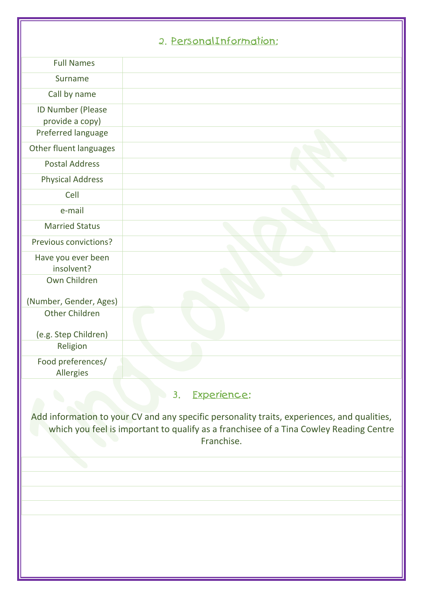| 2. PersonalInformation: |
|-------------------------|
|                         |

|                                                                                                                                                                                                     | <u>2. ECISONALITOMIQIIOII,</u> |  |  |  |  |
|-----------------------------------------------------------------------------------------------------------------------------------------------------------------------------------------------------|--------------------------------|--|--|--|--|
| <b>Full Names</b>                                                                                                                                                                                   |                                |  |  |  |  |
| Surname                                                                                                                                                                                             |                                |  |  |  |  |
| Call by name                                                                                                                                                                                        |                                |  |  |  |  |
| ID Number (Please<br>provide a copy)                                                                                                                                                                |                                |  |  |  |  |
| Preferred language                                                                                                                                                                                  |                                |  |  |  |  |
| Other fluent languages                                                                                                                                                                              |                                |  |  |  |  |
| <b>Postal Address</b>                                                                                                                                                                               |                                |  |  |  |  |
| <b>Physical Address</b>                                                                                                                                                                             |                                |  |  |  |  |
| Cell                                                                                                                                                                                                |                                |  |  |  |  |
| e-mail                                                                                                                                                                                              |                                |  |  |  |  |
| <b>Married Status</b>                                                                                                                                                                               |                                |  |  |  |  |
| Previous convictions?                                                                                                                                                                               |                                |  |  |  |  |
| Have you ever been<br>insolvent?                                                                                                                                                                    |                                |  |  |  |  |
| Own Children                                                                                                                                                                                        |                                |  |  |  |  |
| (Number, Gender, Ages)                                                                                                                                                                              |                                |  |  |  |  |
| <b>Other Children</b>                                                                                                                                                                               |                                |  |  |  |  |
| (e.g. Step Children)                                                                                                                                                                                |                                |  |  |  |  |
| Religion                                                                                                                                                                                            |                                |  |  |  |  |
| Food preferences/<br>Allergies                                                                                                                                                                      |                                |  |  |  |  |
| Experience:<br>3.                                                                                                                                                                                   |                                |  |  |  |  |
| Add information to your CV and any specific personality traits, experiences, and qualities,<br>which you feel is important to qualify as a franchisee of a Tina Cowley Reading Centre<br>Franchise. |                                |  |  |  |  |
|                                                                                                                                                                                                     |                                |  |  |  |  |
|                                                                                                                                                                                                     |                                |  |  |  |  |
|                                                                                                                                                                                                     |                                |  |  |  |  |
|                                                                                                                                                                                                     |                                |  |  |  |  |
|                                                                                                                                                                                                     |                                |  |  |  |  |
|                                                                                                                                                                                                     |                                |  |  |  |  |
|                                                                                                                                                                                                     |                                |  |  |  |  |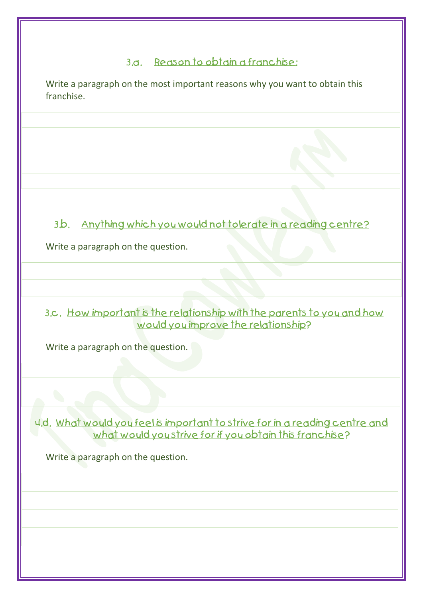## 3.a. Reason to obtain a franchise:

Write a paragraph on the most important reasons why you want to obtain this franchise.

Anything which you would not tolerate in a reading centre?  $3<sub>b</sub>$ 

Write a paragraph on the question.

3.c. How important is the relationship with the parents to you and how would you improve the relationship?

Write a paragraph on the question.

4.d. What would you feel is important to strive for in a reading centre and what would you strive for if you obtain this franchise?

Write a paragraph on the question.